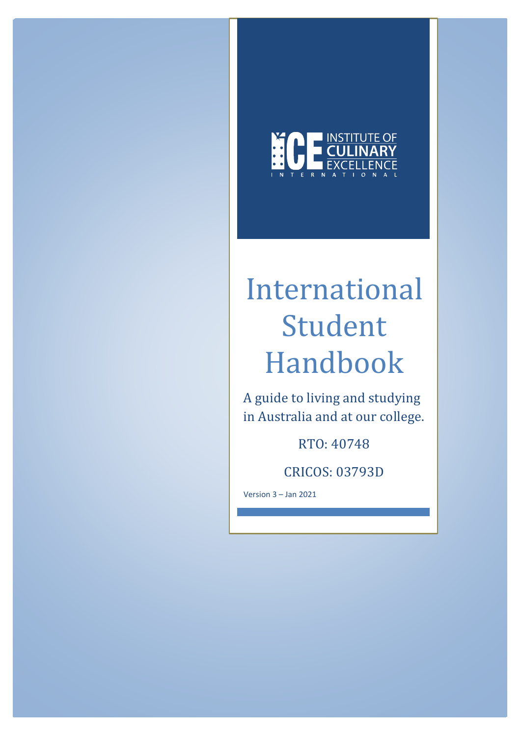

# International Student Handbook

A guide to living and studying in Australia and at our college.

RTO: 40748

CRICOS: 03793D

Version 3 – Jan 2021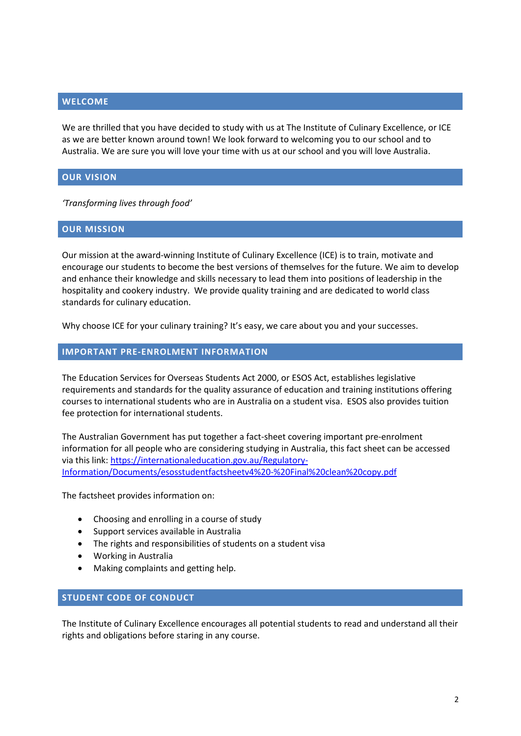## **WELCOME**

We are thrilled that you have decided to study with us at The Institute of Culinary Excellence, or ICE as we are better known around town! We look forward to welcoming you to our school and to Australia. We are sure you will love your time with us at our school and you will love Australia.

## **OUR VISION**

*'Transforming lives through food'*

## **OUR MISSION**

Our mission at the award-winning Institute of Culinary Excellence (ICE) is to train, motivate and encourage our students to become the best versions of themselves for the future. We aim to develop and enhance their knowledge and skills necessary to lead them into positions of leadership in the hospitality and cookery industry. We provide quality training and are dedicated to world class standards for culinary education.

Why choose ICE for your culinary training? It's easy, we care about you and your successes.

## **IMPORTANT PRE-ENROLMENT INFORMATION**

The Education Services for Overseas Students Act 2000, or ESOS Act, establishes legislative requirements and standards for the quality assurance of education and training institutions offering courses to international students who are in Australia on a student visa. ESOS also provides tuition fee protection for international students.

The Australian Government has put together a fact-sheet covering important pre-enrolment information for all people who are considering studying in Australia, this fact sheet can be accessed via this link: [https://internationaleducation.gov.au/Regulatory-](https://internationaleducation.gov.au/Regulatory-Information/Documents/esosstudentfactsheetv4%20-%20Final%20clean%20copy.pdf)[Information/Documents/esosstudentfactsheetv4%20-%20Final%20clean%20copy.pdf](https://internationaleducation.gov.au/Regulatory-Information/Documents/esosstudentfactsheetv4%20-%20Final%20clean%20copy.pdf)

The factsheet provides information on:

- Choosing and enrolling in a course of study
- Support services available in Australia
- The rights and responsibilities of students on a student visa
- Working in Australia
- Making complaints and getting help.

## **STUDENT CODE OF CONDUCT**

The Institute of Culinary Excellence encourages all potential students to read and understand all their rights and obligations before staring in any course.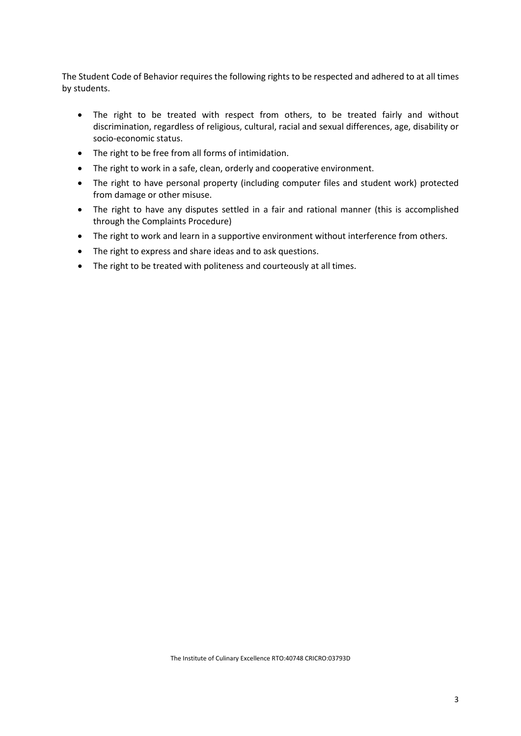The Student Code of Behavior requires the following rights to be respected and adhered to at all times by students.

- The right to be treated with respect from others, to be treated fairly and without discrimination, regardless of religious, cultural, racial and sexual differences, age, disability or socio-economic status.
- The right to be free from all forms of intimidation.
- The right to work in a safe, clean, orderly and cooperative environment.
- The right to have personal property (including computer files and student work) protected from damage or other misuse.
- The right to have any disputes settled in a fair and rational manner (this is accomplished through the Complaints Procedure)
- The right to work and learn in a supportive environment without interference from others.
- The right to express and share ideas and to ask questions.
- The right to be treated with politeness and courteously at all times.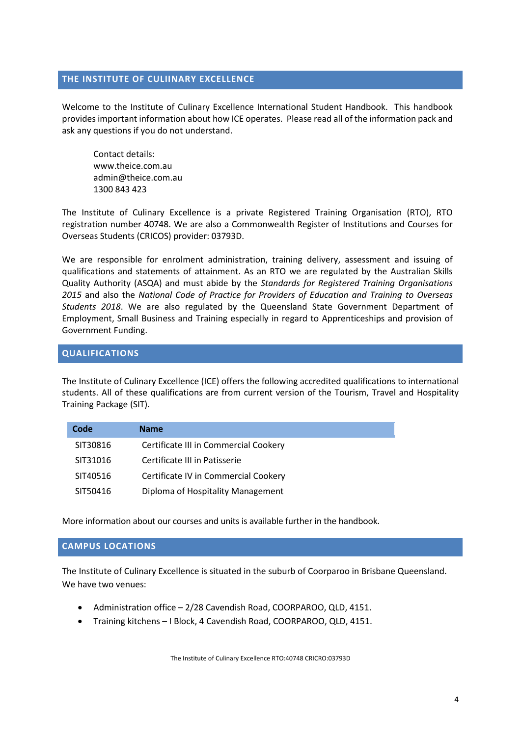## **THE INSTITUTE OF CULIINARY EXCELLENCE**

Welcome to the Institute of Culinary Excellence International Student Handbook. This handbook provides important information about how ICE operates. Please read all of the information pack and ask any questions if you do not understand.

Contact details: www.theice.com.au admin@theice.com.au 1300 843 423

The Institute of Culinary Excellence is a private Registered Training Organisation (RTO), RTO registration number 40748. We are also a Commonwealth Register of Institutions and Courses for Overseas Students (CRICOS) provider: 03793D.

We are responsible for enrolment administration, training delivery, assessment and issuing of qualifications and statements of attainment. As an RTO we are regulated by the Australian Skills Quality Authority (ASQA) and must abide by the *Standards for Registered Training Organisations 2015* and also the *National Code of Practice for Providers of Education and Training to Overseas Students 2018*. We are also regulated by the Queensland State Government Department of Employment, Small Business and Training especially in regard to Apprenticeships and provision of Government Funding.

## **QUALIFICATIONS**

The Institute of Culinary Excellence (ICE) offers the following accredited qualifications to international students. All of these qualifications are from current version of the Tourism, Travel and Hospitality Training Package (SIT).

| Code     | <b>Name</b>                           |  |
|----------|---------------------------------------|--|
| SIT30816 | Certificate III in Commercial Cookery |  |
| SIT31016 | Certificate III in Patisserie         |  |
| SIT40516 | Certificate IV in Commercial Cookery  |  |
| SIT50416 | Diploma of Hospitality Management     |  |

More information about our courses and units is available further in the handbook.

# **CAMPUS LOCATIONS**

The Institute of Culinary Excellence is situated in the suburb of Coorparoo in Brisbane Queensland. We have two venues:

- Administration office 2/28 Cavendish Road, COORPAROO, QLD, 4151.
- Training kitchens I Block, 4 Cavendish Road, COORPAROO, QLD, 4151.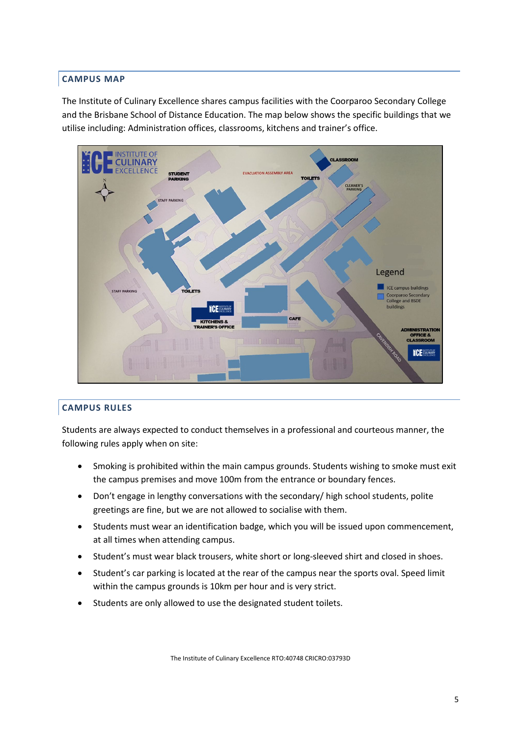# **CAMPUS MAP**

The Institute of Culinary Excellence shares campus facilities with the Coorparoo Secondary College and the Brisbane School of Distance Education. The map below shows the specific buildings that we utilise including: Administration offices, classrooms, kitchens and trainer's office.



# **CAMPUS RULES**

Students are always expected to conduct themselves in a professional and courteous manner, the following rules apply when on site:

- Smoking is prohibited within the main campus grounds. Students wishing to smoke must exit the campus premises and move 100m from the entrance or boundary fences.
- Don't engage in lengthy conversations with the secondary/ high school students, polite greetings are fine, but we are not allowed to socialise with them.
- Students must wear an identification badge, which you will be issued upon commencement, at all times when attending campus.
- Student's must wear black trousers, white short or long-sleeved shirt and closed in shoes.
- Student's car parking is located at the rear of the campus near the sports oval. Speed limit within the campus grounds is 10km per hour and is very strict.
- Students are only allowed to use the designated student toilets.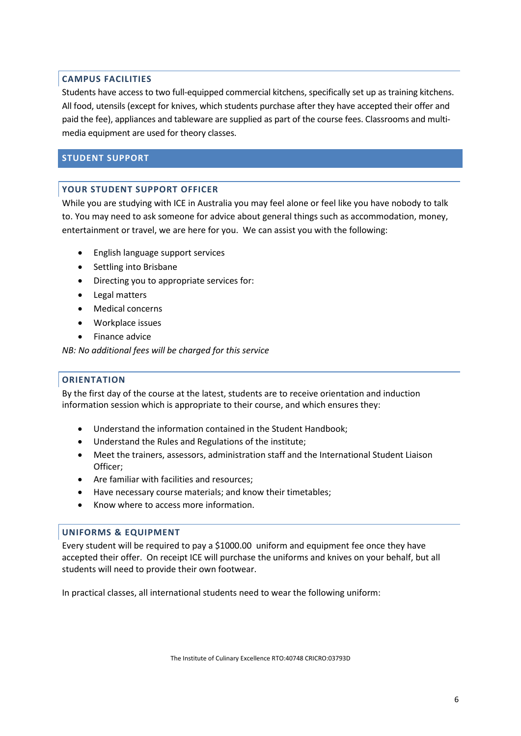# **CAMPUS FACILITIES**

Students have access to two full-equipped commercial kitchens, specifically set up as training kitchens. All food, utensils (except for knives, which students purchase after they have accepted their offer and paid the fee), appliances and tableware are supplied as part of the course fees. Classrooms and multimedia equipment are used for theory classes.

# **STUDENT SUPPORT**

## **YOUR STUDENT SUPPORT OFFICER**

While you are studying with ICE in Australia you may feel alone or feel like you have nobody to talk to. You may need to ask someone for advice about general things such as accommodation, money, entertainment or travel, we are here for you. We can assist you with the following:

- English language support services
- Settling into Brisbane
- Directing you to appropriate services for:
- Legal matters
- Medical concerns
- Workplace issues
- Finance advice

*NB: No additional fees will be charged for this service*

## **ORIENTATION**

By the first day of the course at the latest, students are to receive orientation and induction information session which is appropriate to their course, and which ensures they:

- Understand the information contained in the Student Handbook;
- Understand the Rules and Regulations of the institute;
- Meet the trainers, assessors, administration staff and the International Student Liaison Officer;
- Are familiar with facilities and resources;
- Have necessary course materials; and know their timetables;
- Know where to access more information.

## **UNIFORMS & EQUIPMENT**

Every student will be required to pay a \$1000.00 uniform and equipment fee once they have accepted their offer. On receipt ICE will purchase the uniforms and knives on your behalf, but all students will need to provide their own footwear.

In practical classes, all international students need to wear the following uniform: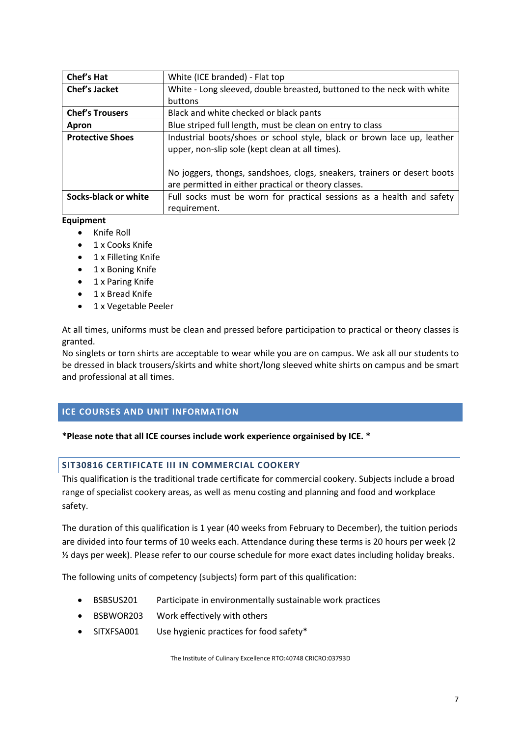| Chef's Hat              | White (ICE branded) - Flat top                                           |
|-------------------------|--------------------------------------------------------------------------|
| Chef's Jacket           | White - Long sleeved, double breasted, buttoned to the neck with white   |
|                         | buttons                                                                  |
| <b>Chef's Trousers</b>  | Black and white checked or black pants                                   |
| Apron                   | Blue striped full length, must be clean on entry to class                |
| <b>Protective Shoes</b> | Industrial boots/shoes or school style, black or brown lace up, leather  |
|                         | upper, non-slip sole (kept clean at all times).                          |
|                         |                                                                          |
|                         | No joggers, thongs, sandshoes, clogs, sneakers, trainers or desert boots |
|                         | are permitted in either practical or theory classes.                     |
| Socks-black or white    | Full socks must be worn for practical sessions as a health and safety    |
|                         | requirement.                                                             |

## **Equipment**

- Knife Roll
- 1 x Cooks Knife
- 1 x Filleting Knife
- 1 x Boning Knife
- 1 x Paring Knife
- 1 x Bread Knife
- 1 x Vegetable Peeler

At all times, uniforms must be clean and pressed before participation to practical or theory classes is granted.

No singlets or torn shirts are acceptable to wear while you are on campus. We ask all our students to be dressed in black trousers/skirts and white short/long sleeved white shirts on campus and be smart and professional at all times.

# **ICE COURSES AND UNIT INFORMATION**

## **\*Please note that all ICE courses include work experience orgainised by ICE. \***

## **SIT30816 CERTIFICATE III IN COMMERCIAL COOKERY**

This qualification is the traditional trade certificate for commercial cookery. Subjects include a broad range of specialist cookery areas, as well as menu costing and planning and food and workplace safety.

The duration of this qualification is 1 year (40 weeks from February to December), the tuition periods are divided into four terms of 10 weeks each. Attendance during these terms is 20 hours per week (2 ½ days per week). Please refer to our course schedule for more exact dates including holiday breaks.

The following units of competency (subjects) form part of this qualification:

- BSBSUS201 Participate in environmentally sustainable work practices
- BSBWOR203 Work effectively with others
- SITXFSA001 Use hygienic practices for food safety\*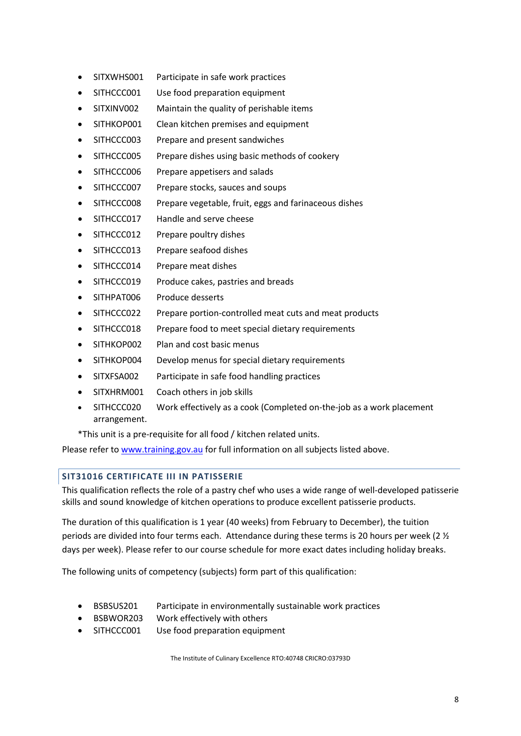- SITXWHS001 Participate in safe work practices
- SITHCCC001 Use food preparation equipment
- SITXINV002 Maintain the quality of perishable items
- SITHKOP001 Clean kitchen premises and equipment
- SITHCCC003 Prepare and present sandwiches
- SITHCCC005 Prepare dishes using basic methods of cookery
- SITHCCC006 Prepare appetisers and salads
- SITHCCC007 Prepare stocks, sauces and soups
- SITHCCC008 Prepare vegetable, fruit, eggs and farinaceous dishes
- SITHCCC017 Handle and serve cheese
- SITHCCC012 Prepare poultry dishes
- SITHCCC013 Prepare seafood dishes
- SITHCCC014 Prepare meat dishes
- SITHCCC019 Produce cakes, pastries and breads
- SITHPAT006 Produce desserts
- SITHCCC022 Prepare portion-controlled meat cuts and meat products
- SITHCCC018 Prepare food to meet special dietary requirements
- SITHKOP002 Plan and cost basic menus
- SITHKOP004 Develop menus for special dietary requirements
- SITXFSA002 Participate in safe food handling practices
- SITXHRM001 Coach others in job skills
- SITHCCC020 Work effectively as a cook (Completed on-the-job as a work placement arrangement.

\*This unit is a pre-requisite for all food / kitchen related units.

Please refer t[o www.training.gov.au](http://www.training.gov.au/) for full information on all subjects listed above.

# **SIT31016 CERTIFICATE III IN PATISSERIE**

This qualification reflects the role of a pastry chef who uses a wide range of well-developed patisserie skills and sound knowledge of kitchen operations to produce excellent patisserie products.

The duration of this qualification is 1 year (40 weeks) from February to December), the tuition periods are divided into four terms each. Attendance during these terms is 20 hours per week (2 ½ days per week). Please refer to our course schedule for more exact dates including holiday breaks.

The following units of competency (subjects) form part of this qualification:

- BSBSUS201 Participate in environmentally sustainable work practices
- BSBWOR203 Work effectively with others
- SITHCCC001 Use food preparation equipment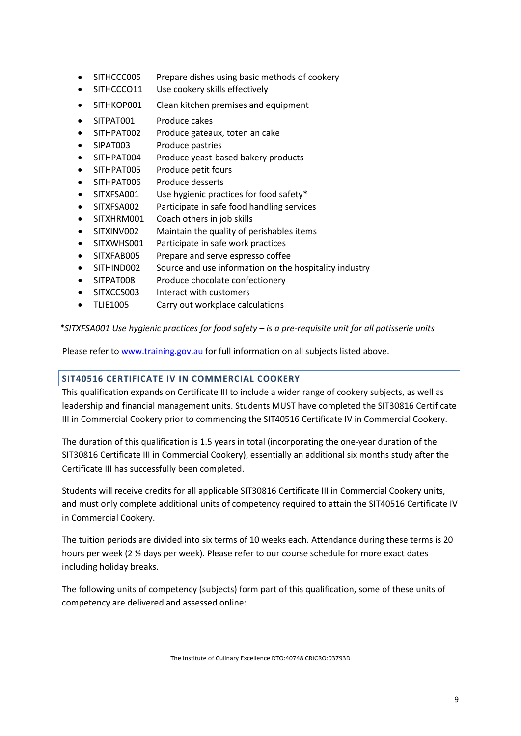- SITHCCC005 Prepare dishes using basic methods of cookery
- SITHCCCO11 Use cookery skills effectively
- SITHKOP001 Clean kitchen premises and equipment
- SITPAT001 Produce cakes
- SITHPAT002 Produce gateaux, toten an cake
- SIPAT003 Produce pastries
- SITHPAT004 Produce yeast-based bakery products
- SITHPAT005 Produce petit fours
- SITHPAT006 Produce desserts
- SITXFSA001 Use hygienic practices for food safety\*
- SITXFSA002 Participate in safe food handling services
- SITXHRM001 Coach others in job skills
- SITXINV002 Maintain the quality of perishables items
- SITXWHS001 Participate in safe work practices
- SITXFAB005 Prepare and serve espresso coffee
- SITHIND002 Source and use information on the hospitality industry
- SITPAT008 Produce chocolate confectionery
- SITXCCS003 Interact with customers
- TLIE1005 Carry out workplace calculations

*\*SITXFSA001 Use hygienic practices for food safety – is a pre-requisite unit for all patisserie units*

Please refer t[o www.training.gov.au](http://www.training.gov.au/) for full information on all subjects listed above.

# **SIT40516 CERTIFICATE IV IN COMMERCIAL COOKERY**

This qualification expands on Certificate III to include a wider range of cookery subjects, as well as leadership and financial management units. Students MUST have completed the SIT30816 Certificate III in Commercial Cookery prior to commencing the SIT40516 Certificate IV in Commercial Cookery.

The duration of this qualification is 1.5 years in total (incorporating the one-year duration of the SIT30816 Certificate III in Commercial Cookery), essentially an additional six months study after the Certificate III has successfully been completed.

Students will receive credits for all applicable SIT30816 Certificate III in Commercial Cookery units, and must only complete additional units of competency required to attain the SIT40516 Certificate IV in Commercial Cookery.

The tuition periods are divided into six terms of 10 weeks each. Attendance during these terms is 20 hours per week (2 ½ days per week). Please refer to our course schedule for more exact dates including holiday breaks.

The following units of competency (subjects) form part of this qualification, some of these units of competency are delivered and assessed online: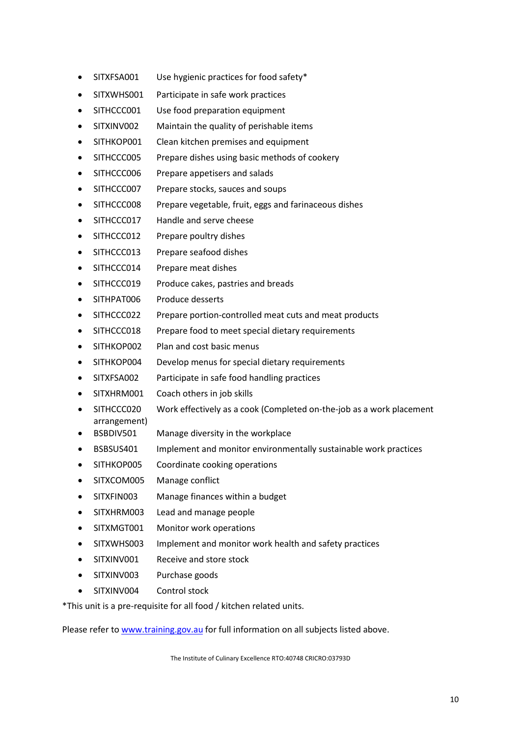- SITXFSA001 Use hygienic practices for food safety\*
- SITXWHS001 Participate in safe work practices
- SITHCCC001 Use food preparation equipment
- SITXINV002 Maintain the quality of perishable items
- SITHKOP001 Clean kitchen premises and equipment
- SITHCCC005 Prepare dishes using basic methods of cookery
- SITHCCC006 Prepare appetisers and salads
- SITHCCC007 Prepare stocks, sauces and soups
- SITHCCC008 Prepare vegetable, fruit, eggs and farinaceous dishes
- SITHCCC017 Handle and serve cheese
- SITHCCC012 Prepare poultry dishes
- SITHCCC013 Prepare seafood dishes
- SITHCCC014 Prepare meat dishes
- SITHCCC019 Produce cakes, pastries and breads
- SITHPAT006 Produce desserts
- SITHCCC022 Prepare portion-controlled meat cuts and meat products
- SITHCCC018 Prepare food to meet special dietary requirements
- SITHKOP002 Plan and cost basic menus
- SITHKOP004 Develop menus for special dietary requirements
- SITXFSA002 Participate in safe food handling practices
- SITXHRM001 Coach others in job skills
- SITHCCC020 Work effectively as a cook (Completed on-the-job as a work placement arrangement)
- BSBDIV501 Manage diversity in the workplace
- BSBSUS401 Implement and monitor environmentally sustainable work practices
- SITHKOP005 Coordinate cooking operations
- SITXCOM005 Manage conflict
- SITXFIN003 Manage finances within a budget
- SITXHRM003 Lead and manage people
- SITXMGT001 Monitor work operations
- SITXWHS003 Implement and monitor work health and safety practices
- SITXINV001 Receive and store stock
- SITXINV003 Purchase goods
- SITXINV004 Control stock

\*This unit is a pre-requisite for all food / kitchen related units.

Please refer t[o www.training.gov.au](http://www.training.gov.au/) for full information on all subjects listed above.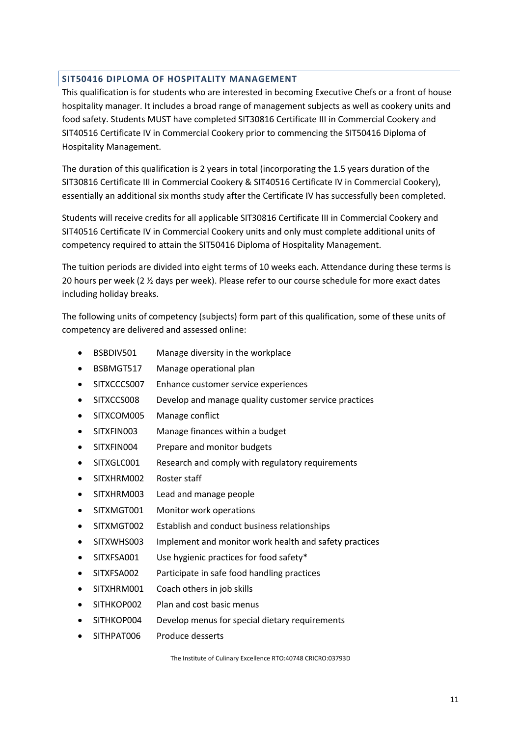## **SIT50416 DIPLOMA OF HOSPITALITY MANAGEMENT**

This qualification is for students who are interested in becoming Executive Chefs or a front of house hospitality manager. It includes a broad range of management subjects as well as cookery units and food safety. Students MUST have completed SIT30816 Certificate III in Commercial Cookery and SIT40516 Certificate IV in Commercial Cookery prior to commencing the SIT50416 Diploma of Hospitality Management.

The duration of this qualification is 2 years in total (incorporating the 1.5 years duration of the SIT30816 Certificate III in Commercial Cookery & SIT40516 Certificate IV in Commercial Cookery), essentially an additional six months study after the Certificate IV has successfully been completed.

Students will receive credits for all applicable SIT30816 Certificate III in Commercial Cookery and SIT40516 Certificate IV in Commercial Cookery units and only must complete additional units of competency required to attain the SIT50416 Diploma of Hospitality Management.

The tuition periods are divided into eight terms of 10 weeks each. Attendance during these terms is 20 hours per week (2  $\frac{1}{2}$  days per week). Please refer to our course schedule for more exact dates including holiday breaks.

The following units of competency (subjects) form part of this qualification, some of these units of competency are delivered and assessed online:

- BSBDIV501 Manage diversity in the workplace
- BSBMGT517 Manage operational plan
- SITXCCCS007 Enhance customer service experiences
- SITXCCS008 Develop and manage quality customer service practices
- SITXCOM005 Manage conflict
- SITXFIN003 Manage finances within a budget
- SITXFIN004 Prepare and monitor budgets
- SITXGLC001 Research and comply with regulatory requirements
- SITXHRM002 Roster staff
- SITXHRM003 Lead and manage people
- SITXMGT001 Monitor work operations
- SITXMGT002 Establish and conduct business relationships
- SITXWHS003 Implement and monitor work health and safety practices
- SITXFSA001 Use hygienic practices for food safety\*
- SITXFSA002 Participate in safe food handling practices
- SITXHRM001 Coach others in job skills
- SITHKOP002 Plan and cost basic menus
- SITHKOP004 Develop menus for special dietary requirements
- SITHPAT006 Produce desserts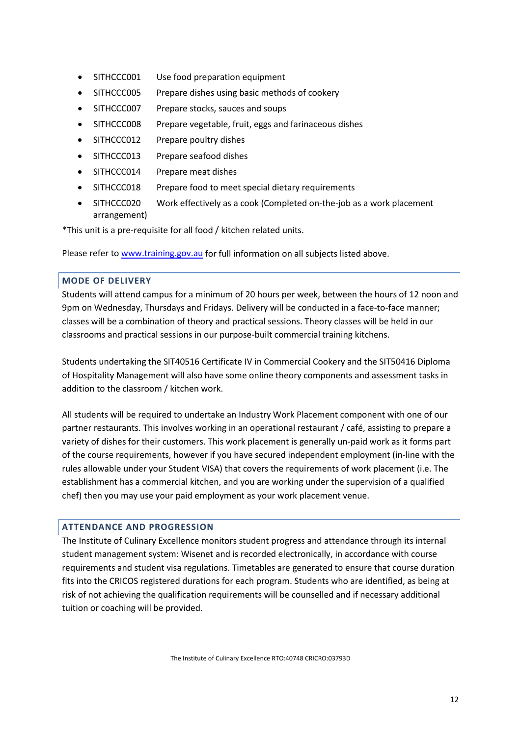- SITHCCC001 Use food preparation equipment
- SITHCCC005 Prepare dishes using basic methods of cookery
- SITHCCC007 Prepare stocks, sauces and soups
- SITHCCC008 Prepare vegetable, fruit, eggs and farinaceous dishes
- SITHCCC012 Prepare poultry dishes
- SITHCCC013 Prepare seafood dishes
- SITHCCC014 Prepare meat dishes
- SITHCCC018 Prepare food to meet special dietary requirements
- SITHCCC020 Work effectively as a cook (Completed on-the-job as a work placement arrangement)

\*This unit is a pre-requisite for all food / kitchen related units.

Please refer t[o www.training.gov.au](http://www.training.gov.au/) for full information on all subjects listed above.

# **MODE OF DELIVERY**

Students will attend campus for a minimum of 20 hours per week, between the hours of 12 noon and 9pm on Wednesday, Thursdays and Fridays. Delivery will be conducted in a face-to-face manner; classes will be a combination of theory and practical sessions. Theory classes will be held in our classrooms and practical sessions in our purpose-built commercial training kitchens.

Students undertaking the SIT40516 Certificate IV in Commercial Cookery and the SIT50416 Diploma of Hospitality Management will also have some online theory components and assessment tasks in addition to the classroom / kitchen work.

All students will be required to undertake an Industry Work Placement component with one of our partner restaurants. This involves working in an operational restaurant / café, assisting to prepare a variety of dishes for their customers. This work placement is generally un-paid work as it forms part of the course requirements, however if you have secured independent employment (in-line with the rules allowable under your Student VISA) that covers the requirements of work placement (i.e. The establishment has a commercial kitchen, and you are working under the supervision of a qualified chef) then you may use your paid employment as your work placement venue.

# **ATTENDANCE AND PROGRESSION**

The Institute of Culinary Excellence monitors student progress and attendance through its internal student management system: Wisenet and is recorded electronically, in accordance with course requirements and student visa regulations. Timetables are generated to ensure that course duration fits into the CRICOS registered durations for each program. Students who are identified, as being at risk of not achieving the qualification requirements will be counselled and if necessary additional tuition or coaching will be provided.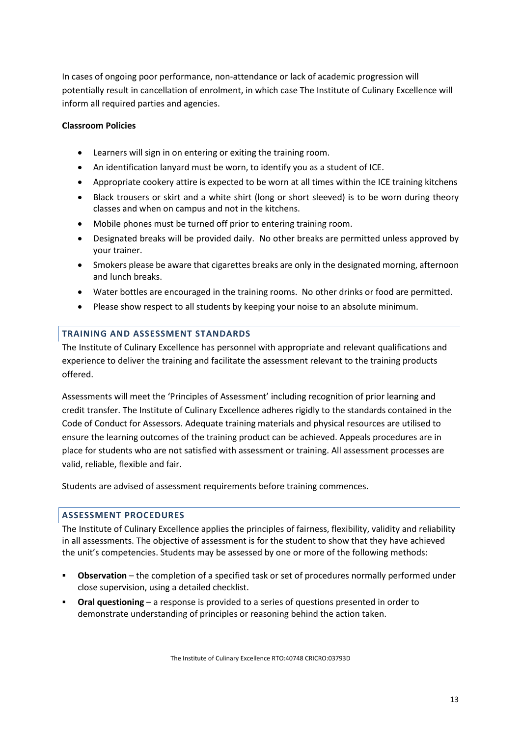In cases of ongoing poor performance, non-attendance or lack of academic progression will potentially result in cancellation of enrolment, in which case The Institute of Culinary Excellence will inform all required parties and agencies.

# **Classroom Policies**

- Learners will sign in on entering or exiting the training room.
- An identification lanyard must be worn, to identify you as a student of ICE.
- Appropriate cookery attire is expected to be worn at all times within the ICE training kitchens
- Black trousers or skirt and a white shirt (long or short sleeved) is to be worn during theory classes and when on campus and not in the kitchens.
- Mobile phones must be turned off prior to entering training room.
- Designated breaks will be provided daily. No other breaks are permitted unless approved by your trainer.
- Smokers please be aware that cigarettes breaks are only in the designated morning, afternoon and lunch breaks.
- Water bottles are encouraged in the training rooms. No other drinks or food are permitted.
- Please show respect to all students by keeping your noise to an absolute minimum.

## **TRAINING AND ASSESSMENT STANDARDS**

The Institute of Culinary Excellence has personnel with appropriate and relevant qualifications and experience to deliver the training and facilitate the assessment relevant to the training products offered.

Assessments will meet the 'Principles of Assessment' including recognition of prior learning and credit transfer. The Institute of Culinary Excellence adheres rigidly to the standards contained in the Code of Conduct for Assessors. Adequate training materials and physical resources are utilised to ensure the learning outcomes of the training product can be achieved. Appeals procedures are in place for students who are not satisfied with assessment or training. All assessment processes are valid, reliable, flexible and fair.

Students are advised of assessment requirements before training commences.

## **ASSESSMENT PROCEDURES**

The Institute of Culinary Excellence applies the principles of fairness, flexibility, validity and reliability in all assessments. The objective of assessment is for the student to show that they have achieved the unit's competencies. Students may be assessed by one or more of the following methods:

- **Observation**  the completion of a specified task or set of procedures normally performed under close supervision, using a detailed checklist.
- **Oral questioning**  a response is provided to a series of questions presented in order to demonstrate understanding of principles or reasoning behind the action taken.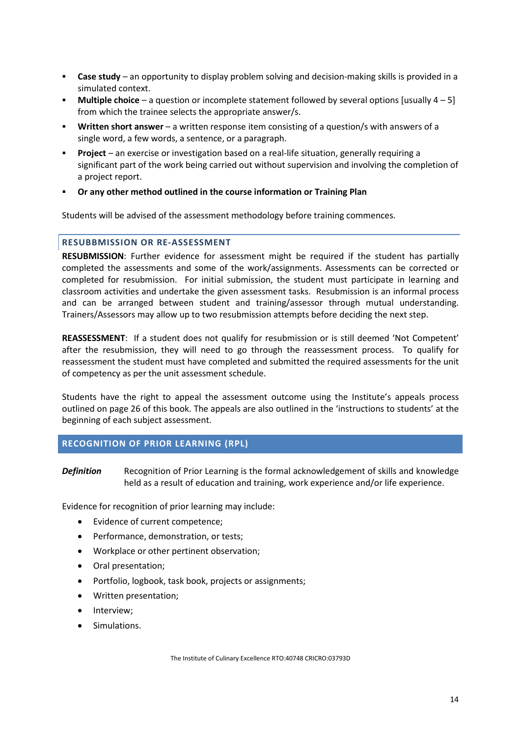- **Case study** an opportunity to display problem solving and decision-making skills is provided in a simulated context.
- **Multiple choice**  a question or incomplete statement followed by several options [usually 4 5] from which the trainee selects the appropriate answer/s.
- **Written short answer**  a written response item consisting of a question/s with answers of a single word, a few words, a sentence, or a paragraph.
- **Project**  an exercise or investigation based on a real-life situation, generally requiring a significant part of the work being carried out without supervision and involving the completion of a project report.
- **Or any other method outlined in the course information or Training Plan**

Students will be advised of the assessment methodology before training commences.

## **RESUBBMISSION OR RE-ASSESSMENT**

**RESUBMISSION**: Further evidence for assessment might be required if the student has partially completed the assessments and some of the work/assignments. Assessments can be corrected or completed for resubmission. For initial submission, the student must participate in learning and classroom activities and undertake the given assessment tasks. Resubmission is an informal process and can be arranged between student and training/assessor through mutual understanding. Trainers/Assessors may allow up to two resubmission attempts before deciding the next step.

**REASSESSMENT**: If a student does not qualify for resubmission or is still deemed 'Not Competent' after the resubmission, they will need to go through the reassessment process. To qualify for reassessment the student must have completed and submitted the required assessments for the unit of competency as per the unit assessment schedule.

Students have the right to appeal the assessment outcome using the Institute's [appeals process](#page-27-0)  outlined on page 26 of this book. The appeals are also outlined in the 'instructions to students' at the beginning of each subject assessment.

## **RECOGNITION OF PRIOR LEARNING (RPL)**

*Definition* Recognition of Prior Learning is the formal acknowledgement of skills and knowledge held as a result of education and training, work experience and/or life experience.

Evidence for recognition of prior learning may include:

- Evidence of current competence;
- Performance, demonstration, or tests;
- Workplace or other pertinent observation;
- Oral presentation;
- Portfolio, logbook, task book, projects or assignments;
- Written presentation;
- Interview;
- Simulations.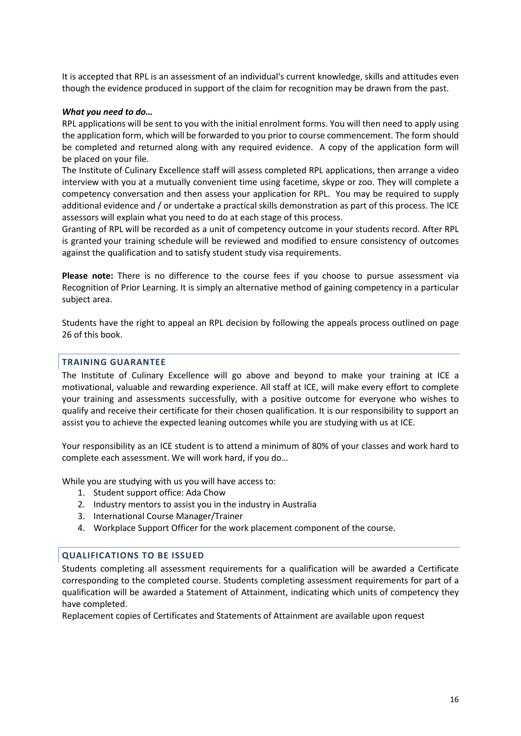It is accepted that RPL is an assessment of an individual's current knowledge, skills and attitudes even though the evidence produced in support of the claim for recognition may be drawn from the past.

#### *What you need to do…*

RPL applications will be sent to you with the initial enrolment forms. You will then need to apply using the application form, which will be forwarded to you prior to course commencement. The form should be completed and returned along with any required evidence. A copy of the application form will be placed on your file.

The Institute of Culinary Excellence staff will assess completed RPL applications, then arrange a video interview with you at a mutually convenient time using facetime, skype or zoo. They will complete a competency conversation and then assess your application for RPL. You may be required to supply additional evidence and / or undertake a practical skills demonstration as part of this process. The ICE assessors will explain what you need to do at each stage of this process.

Granting of RPL will be recorded as a unit of competency outcome in your students record. After RPL is granted your training schedule will be reviewed and modified to ensure consistency of outcomes against the qualification and to satisfy student study visa requirements.

**Please note:** There is no difference to the course fees if you choose to pursue assessment via Recognition of Prior Learning. It is simply an alternative method of gaining competency in a particular subject area.

Students have the right to appeal an RPL decision by following the appeals process outlined on page 26 of this book.

#### **TRAINING GUARANTEE**

The Institute of Culinary Excellence will go above and beyond to make your training at ICE a motivational, valuable and rewarding experience. All staff at ICE, will make every effort to complete your training and assessments successfully, with a positive outcome for everyone who wishes to qualify and receive their certificate for their chosen qualification. It is our responsibility to support an assist you to achieve the expected leaning outcomes while you are studying with us at ICE.

Your responsibility as an ICE student is to attend a minimum of 80% of your classes and work hard to complete each assessment. We will work hard, if you do…

While you are studying with us you will have access to:

- 1. Student support office: Ada Chow
- 2. Industry mentors to assist you in the industry in Australia
- 3. International Course Manager/Trainer
- 4. Workplace Support Officer for the work placement component of the course.

#### **QUALIFICATIONS TO BE ISSUED**

Students completing all assessment requirements for a qualification will be awarded a Certificate corresponding to the completed course. Students completing assessment requirements for part of a qualification will be awarded a Statement of Attainment, indicating which units of competency they have completed.

Replacement copies of Certificates and Statements of Attainment are available upon request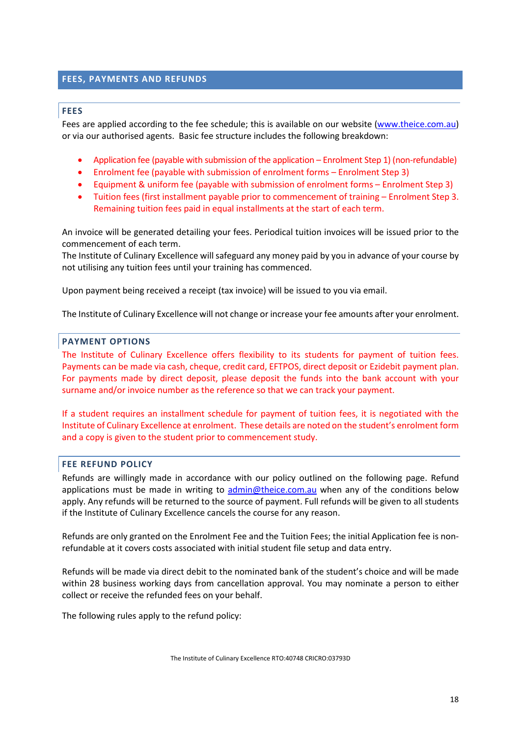# **FEES, PAYMENTS AND REFUNDS**

#### **FEES**

Fees are applied according to the fee schedule; this is available on our website [\(www.theice.com.au\)](http://www.theice.com.au/) or via our authorised agents. Basic fee structure includes the following breakdown:

- Application fee (payable with submission of the application Enrolment Step 1) (non-refundable)
- Enrolment fee (payable with submission of enrolment forms Enrolment Step 3)
- Equipment & uniform fee (payable with submission of enrolment forms Enrolment Step 3)
- Tuition fees (first installment payable prior to commencement of training Enrolment Step 3. Remaining tuition fees paid in equal installments at the start of each term.

An invoice will be generated detailing your fees. Periodical tuition invoices will be issued prior to the commencement of each term.

The Institute of Culinary Excellence will safeguard any money paid by you in advance of your course by not utilising any tuition fees until your training has commenced.

Upon payment being received a receipt (tax invoice) will be issued to you via email.

The Institute of Culinary Excellence will not change or increase your fee amounts after your enrolment.

## **PAYMENT OPTIONS**

The Institute of Culinary Excellence offers flexibility to its students for payment of tuition fees. Payments can be made via cash, cheque, credit card, EFTPOS, direct deposit or Ezidebit payment plan. For payments made by direct deposit, please deposit the funds into the bank account with your surname and/or invoice number as the reference so that we can track your payment.

If a student requires an installment schedule for payment of tuition fees, it is negotiated with the Institute of Culinary Excellence at enrolment. These details are noted on the student's enrolment form and a copy is given to the student prior to commencement study.

## **FEE REFUND POLICY**

Refunds are willingly made in accordance with our policy outlined on the following page. Refund applications must be made in writing to [admin@theice.com.au](mailto:admin@theice.com.au) when any of the conditions below apply. Any refunds will be returned to the source of payment. Full refunds will be given to all students if the Institute of Culinary Excellence cancels the course for any reason.

Refunds are only granted on the Enrolment Fee and the Tuition Fees; the initial Application fee is nonrefundable at it covers costs associated with initial student file setup and data entry.

Refunds will be made via direct debit to the nominated bank of the student's choice and will be made within 28 business working days from cancellation approval. You may nominate a person to either collect or receive the refunded fees on your behalf.

The following rules apply to the refund policy: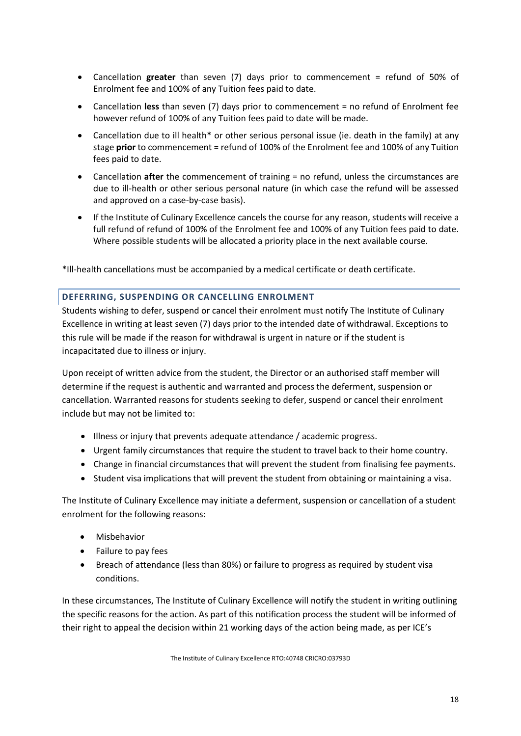- Cancellation **greater** than seven (7) days prior to commencement = refund of 50% of Enrolment fee and 100% of any Tuition fees paid to date.
- Cancellation **less** than seven (7) days prior to commencement = no refund of Enrolment fee however refund of 100% of any Tuition fees paid to date will be made.
- Cancellation due to ill health\* or other serious personal issue (ie. death in the family) at any stage **prior** to commencement = refund of 100% of the Enrolment fee and 100% of any Tuition fees paid to date.
- Cancellation **after** the commencement of training = no refund, unless the circumstances are due to ill-health or other serious personal nature (in which case the refund will be assessed and approved on a case-by-case basis).
- If the Institute of Culinary Excellence cancels the course for any reason, students will receive a full refund of refund of 100% of the Enrolment fee and 100% of any Tuition fees paid to date. Where possible students will be allocated a priority place in the next available course.

\*Ill-health cancellations must be accompanied by a medical certificate or death certificate.

## **DEFERRING, SUSPENDING OR CANCELLING ENROLMENT**

Students wishing to defer, suspend or cancel their enrolment must notify The Institute of Culinary Excellence in writing at least seven (7) days prior to the intended date of withdrawal. Exceptions to this rule will be made if the reason for withdrawal is urgent in nature or if the student is incapacitated due to illness or injury.

Upon receipt of written advice from the student, the Director or an authorised staff member will determine if the request is authentic and warranted and process the deferment, suspension or cancellation. Warranted reasons for students seeking to defer, suspend or cancel their enrolment include but may not be limited to:

- Illness or injury that prevents adequate attendance / academic progress.
- Urgent family circumstances that require the student to travel back to their home country.
- Change in financial circumstances that will prevent the student from finalising fee payments.
- Student visa implications that will prevent the student from obtaining or maintaining a visa.

The Institute of Culinary Excellence may initiate a deferment, suspension or cancellation of a student enrolment for the following reasons:

- Misbehavior
- Failure to pay fees
- Breach of attendance (less than 80%) or failure to progress as required by student visa conditions.

In these circumstances, The Institute of Culinary Excellence will notify the student in writing outlining the specific reasons for the action. As part of this notification process the student will be informed of their right to appeal the decision within 21 working days of the action being made, as per ICE's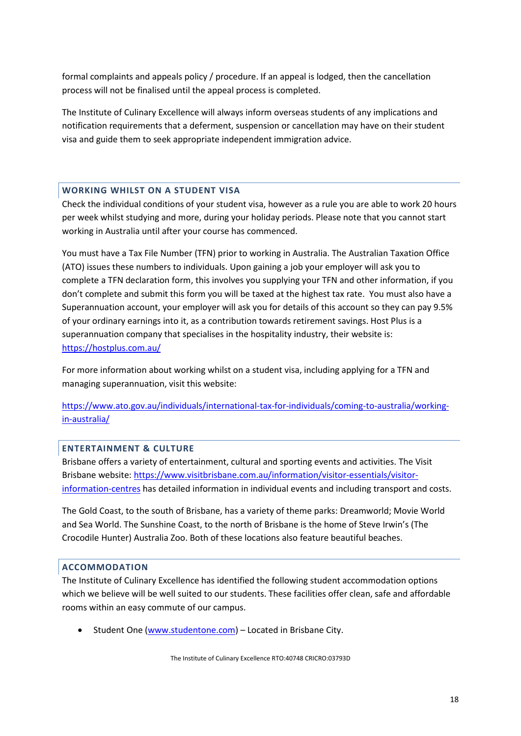formal complaints and appeals policy / procedure. If an appeal is lodged, then the cancellation process will not be finalised until the appeal process is completed.

The Institute of Culinary Excellence will always inform overseas students of any implications and notification requirements that a deferment, suspension or cancellation may have on their student visa and guide them to seek appropriate independent immigration advice.

## **WORKING WHILST ON A STUDENT VISA**

Check the individual conditions of your student visa, however as a rule you are able to work 20 hours per week whilst studying and more, during your holiday periods. Please note that you cannot start working in Australia until after your course has commenced.

You must have a Tax File Number (TFN) prior to working in Australia. The Australian Taxation Office (ATO) issues these numbers to individuals. Upon gaining a job your employer will ask you to complete a TFN declaration form, this involves you supplying your TFN and other information, if you don't complete and submit this form you will be taxed at the highest tax rate. You must also have a Superannuation account, your employer will ask you for details of this account so they can pay 9.5% of your ordinary earnings into it, as a contribution towards retirement savings. Host Plus is a superannuation company that specialises in the hospitality industry, their website is: <https://hostplus.com.au/>

For more information about working whilst on a student visa, including applying for a TFN and managing superannuation, visit this website:

[https://www.ato.gov.au/individuals/international-tax-for-individuals/coming-to-australia/working](https://www.ato.gov.au/individuals/international-tax-for-individuals/coming-to-australia/working-in-australia/)[in-australia/](https://www.ato.gov.au/individuals/international-tax-for-individuals/coming-to-australia/working-in-australia/)

## **ENTERTAINMENT & CULTURE**

Brisbane offers a variety of entertainment, cultural and sporting events and activities. The Visit Brisbane website: [https://www.visitbrisbane.com.au/information/visitor-essentials/visitor](https://www.visitbrisbane.com.au/information/visitor-essentials/visitor-information-centres)[information-centres](https://www.visitbrisbane.com.au/information/visitor-essentials/visitor-information-centres) has detailed information in individual events and including transport and costs.

The Gold Coast, to the south of Brisbane, has a variety of theme parks: Dreamworld; Movie World and Sea World. The Sunshine Coast, to the north of Brisbane is the home of Steve Irwin's (The Crocodile Hunter) Australia Zoo. Both of these locations also feature beautiful beaches.

# **ACCOMMODATION**

The Institute of Culinary Excellence has identified the following student accommodation options which we believe will be well suited to our students. These facilities offer clean, safe and affordable rooms within an easy commute of our campus.

• Student One [\(www.studentone.com\)](http://www.studentone.com/) – Located in Brisbane City.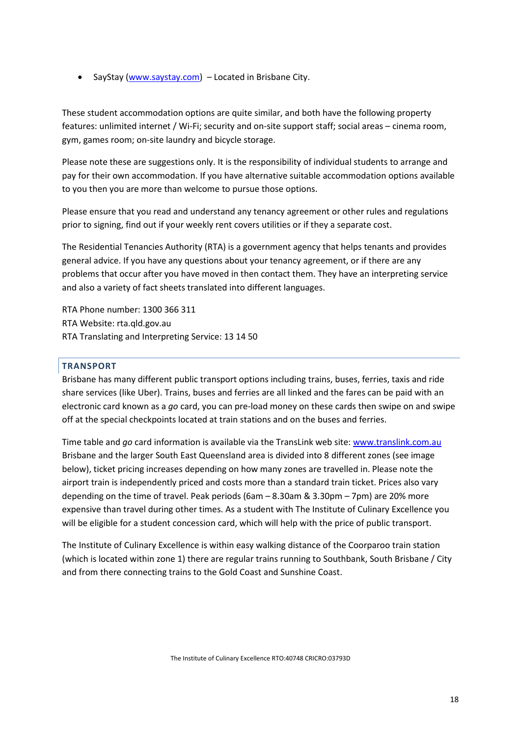• SayStay [\(www.saystay.com\)](http://www.saystay.com/) – Located in Brisbane City.

These student accommodation options are quite similar, and both have the following property features: unlimited internet / Wi-Fi; security and on-site support staff; social areas – cinema room, gym, games room; on-site laundry and bicycle storage.

Please note these are suggestions only. It is the responsibility of individual students to arrange and pay for their own accommodation. If you have alternative suitable accommodation options available to you then you are more than welcome to pursue those options.

Please ensure that you read and understand any tenancy agreement or other rules and regulations prior to signing, find out if your weekly rent covers utilities or if they a separate cost.

The Residential Tenancies Authority (RTA) is a government agency that helps tenants and provides general advice. If you have any questions about your tenancy agreement, or if there are any problems that occur after you have moved in then contact them. They have an interpreting service and also a variety of fact sheets translated into different languages.

RTA Phone number: 1300 366 311 RTA Website: rta.qld.gov.au RTA Translating and Interpreting Service: 13 14 50

## **TRANSPORT**

Brisbane has many different public transport options including trains, buses, ferries, taxis and ride share services (like Uber). Trains, buses and ferries are all linked and the fares can be paid with an electronic card known as a *go* card, you can pre-load money on these cards then swipe on and swipe off at the special checkpoints located at train stations and on the buses and ferries.

Time table and *go* card information is available via the TransLink web site[: www.translink.com.au](http://www.translink.com.au/) Brisbane and the larger South East Queensland area is divided into 8 different zones (see image below), ticket pricing increases depending on how many zones are travelled in. Please note the airport train is independently priced and costs more than a standard train ticket. Prices also vary depending on the time of travel. Peak periods (6am – 8.30am & 3.30pm – 7pm) are 20% more expensive than travel during other times. As a student with The Institute of Culinary Excellence you will be eligible for a student concession card, which will help with the price of public transport.

The Institute of Culinary Excellence is within easy walking distance of the Coorparoo train station (which is located within zone 1) there are regular trains running to Southbank, South Brisbane / City and from there connecting trains to the Gold Coast and Sunshine Coast.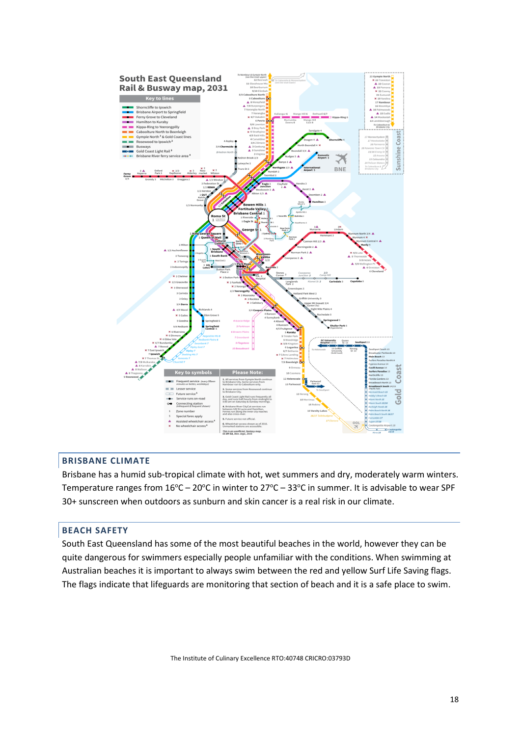

# **BRISBANE CLIMATE**

Brisbane has a humid sub-tropical climate with hot, wet summers and dry, moderately warm winters. Temperature ranges from  $16^{\circ}$ C – 20°C in winter to 27°C – 33°C in summer. It is advisable to wear SPF 30+ sunscreen when outdoors as sunburn and skin cancer is a real risk in our climate.

## **BEACH SAFETY**

South East Queensland has some of the most beautiful beaches in the world, however they can be quite dangerous for swimmers especially people unfamiliar with the conditions. When swimming at Australian beaches it is important to always swim between the red and yellow Surf Life Saving flags. The flags indicate that lifeguards are monitoring that section of beach and it is a safe place to swim.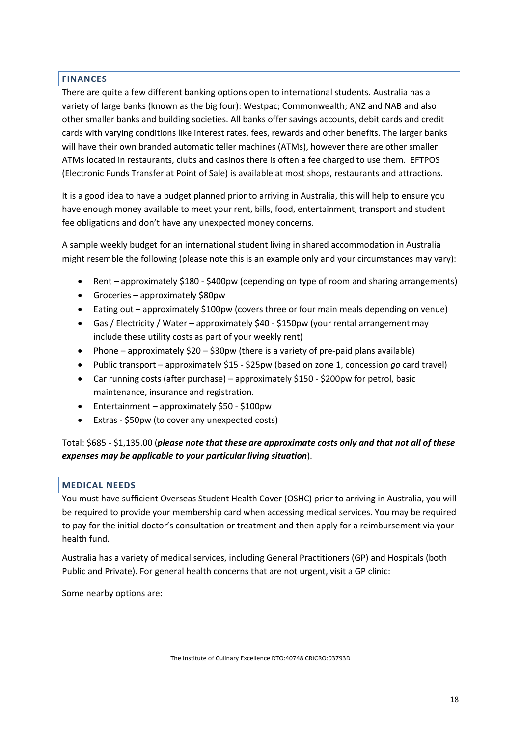# **FINANCES**

There are quite a few different banking options open to international students. Australia has a variety of large banks (known as the big four): Westpac; Commonwealth; ANZ and NAB and also other smaller banks and building societies. All banks offer savings accounts, debit cards and credit cards with varying conditions like interest rates, fees, rewards and other benefits. The larger banks will have their own branded automatic teller machines (ATMs), however there are other smaller ATMs located in restaurants, clubs and casinos there is often a fee charged to use them. EFTPOS (Electronic Funds Transfer at Point of Sale) is available at most shops, restaurants and attractions.

It is a good idea to have a budget planned prior to arriving in Australia, this will help to ensure you have enough money available to meet your rent, bills, food, entertainment, transport and student fee obligations and don't have any unexpected money concerns.

A sample weekly budget for an international student living in shared accommodation in Australia might resemble the following (please note this is an example only and your circumstances may vary):

- Rent approximately \$180 \$400pw (depending on type of room and sharing arrangements)
- Groceries approximately \$80pw
- Eating out approximately \$100pw (covers three or four main meals depending on venue)
- Gas / Electricity / Water approximately \$40 \$150pw (your rental arrangement may include these utility costs as part of your weekly rent)
- Phone approximately  $$20 $30$ pw (there is a variety of pre-paid plans available)
- Public transport approximately \$15 \$25pw (based on zone 1, concession *go* card travel)
- Car running costs (after purchase) approximately \$150 \$200pw for petrol, basic maintenance, insurance and registration.
- Entertainment approximately \$50 \$100pw
- Extras \$50pw (to cover any unexpected costs)

Total: \$685 - \$1,135.00 (*please note that these are approximate costs only and that not all of these expenses may be applicable to your particular living situation*).

# **MEDICAL NEEDS**

You must have sufficient Overseas Student Health Cover (OSHC) prior to arriving in Australia, you will be required to provide your membership card when accessing medical services. You may be required to pay for the initial doctor's consultation or treatment and then apply for a reimbursement via your health fund.

Australia has a variety of medical services, including General Practitioners (GP) and Hospitals (both Public and Private). For general health concerns that are not urgent, visit a GP clinic:

Some nearby options are: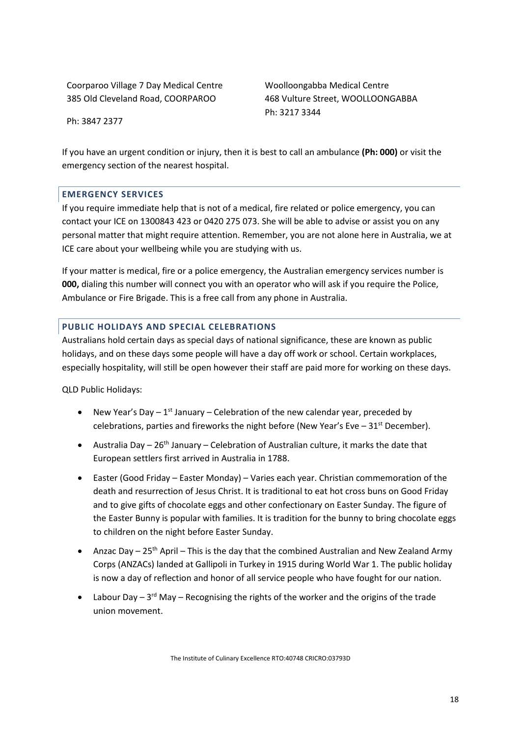Coorparoo Village 7 Day Medical Centre 385 Old Cleveland Road, COORPAROO

Woolloongabba Medical Centre 468 Vulture Street, WOOLLOONGABBA Ph: 3217 3344

Ph: 3847 2377

If you have an urgent condition or injury, then it is best to call an ambulance **(Ph: 000)** or visit the emergency section of the nearest hospital.

## **EMERGENCY SERVICES**

If you require immediate help that is not of a medical, fire related or police emergency, you can contact your ICE on 1300843 423 or 0420 275 073. She will be able to advise or assist you on any personal matter that might require attention. Remember, you are not alone here in Australia, we at ICE care about your wellbeing while you are studying with us.

If your matter is medical, fire or a police emergency, the Australian emergency services number is **000,** dialing this number will connect you with an operator who will ask if you require the Police, Ambulance or Fire Brigade. This is a free call from any phone in Australia.

## **PUBLIC HOLIDAYS AND SPECIAL CELEBRATIONS**

Australians hold certain days as special days of national significance, these are known as public holidays, and on these days some people will have a day off work or school. Certain workplaces, especially hospitality, will still be open however their staff are paid more for working on these days.

QLD Public Holidays:

- New Year's Day  $-1^{st}$  January Celebration of the new calendar year, preceded by celebrations, parties and fireworks the night before (New Year's Eve  $-31<sup>st</sup>$  December).
- Australia Day  $26<sup>th</sup>$  January Celebration of Australian culture, it marks the date that European settlers first arrived in Australia in 1788.
- Easter (Good Friday Easter Monday) Varies each year. Christian commemoration of the death and resurrection of Jesus Christ. It is traditional to eat hot cross buns on Good Friday and to give gifts of chocolate eggs and other confectionary on Easter Sunday. The figure of the Easter Bunny is popular with families. It is tradition for the bunny to bring chocolate eggs to children on the night before Easter Sunday.
- Anzac Day  $25<sup>th</sup>$  April This is the day that the combined Australian and New Zealand Army Corps (ANZACs) landed at Gallipoli in Turkey in 1915 during World War 1. The public holiday is now a day of reflection and honor of all service people who have fought for our nation.
- Labour Day  $3^{rd}$  May Recognising the rights of the worker and the origins of the trade union movement.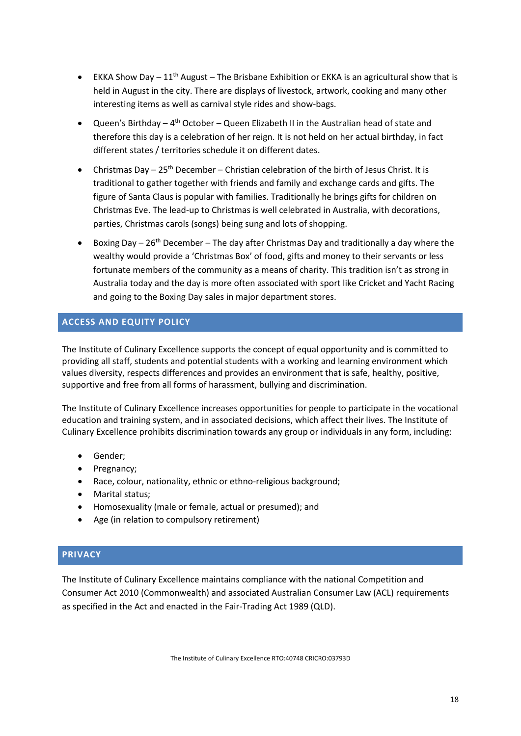- EKKA Show Day  $11<sup>th</sup>$  August The Brisbane Exhibition or EKKA is an agricultural show that is held in August in the city. There are displays of livestock, artwork, cooking and many other interesting items as well as carnival style rides and show-bags.
- Queen's Birthday  $4<sup>th</sup>$  October Queen Elizabeth II in the Australian head of state and therefore this day is a celebration of her reign. It is not held on her actual birthday, in fact different states / territories schedule it on different dates.
- Christmas Day  $-25$ <sup>th</sup> December Christian celebration of the birth of Jesus Christ. It is traditional to gather together with friends and family and exchange cards and gifts. The figure of Santa Claus is popular with families. Traditionally he brings gifts for children on Christmas Eve. The lead-up to Christmas is well celebrated in Australia, with decorations, parties, Christmas carols (songs) being sung and lots of shopping.
- Boxing Day  $26<sup>th</sup>$  December The day after Christmas Day and traditionally a day where the wealthy would provide a 'Christmas Box' of food, gifts and money to their servants or less fortunate members of the community as a means of charity. This tradition isn't as strong in Australia today and the day is more often associated with sport like Cricket and Yacht Racing and going to the Boxing Day sales in major department stores.

# **ACCESS AND EQUITY POLICY**

The Institute of Culinary Excellence supports the concept of equal opportunity and is committed to providing all staff, students and potential students with a working and learning environment which values diversity, respects differences and provides an environment that is safe, healthy, positive, supportive and free from all forms of harassment, bullying and discrimination.

The Institute of Culinary Excellence increases opportunities for people to participate in the vocational education and training system, and in associated decisions, which affect their lives. The Institute of Culinary Excellence prohibits discrimination towards any group or individuals in any form, including:

- Gender;
- Pregnancy;
- Race, colour, nationality, ethnic or ethno-religious background;
- Marital status;
- Homosexuality (male or female, actual or presumed); and
- Age (in relation to compulsory retirement)

# **PRIVACY**

The Institute of Culinary Excellence maintains compliance with the national Competition and Consumer Act 2010 (Commonwealth) and associated Australian Consumer Law (ACL) requirements as specified in the Act and enacted in the Fair-Trading Act 1989 (QLD).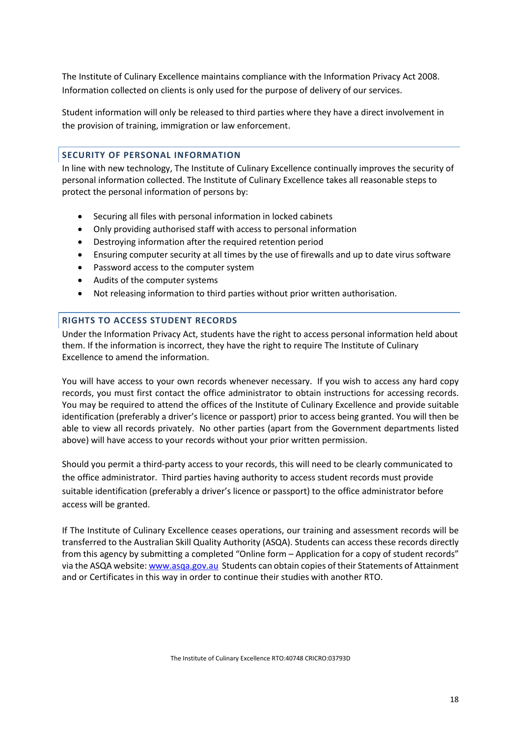The Institute of Culinary Excellence maintains compliance with the Information Privacy Act 2008. Information collected on clients is only used for the purpose of delivery of our services.

Student information will only be released to third parties where they have a direct involvement in the provision of training, immigration or law enforcement.

# **SECURITY OF PERSONAL INFORMATION**

In line with new technology, The Institute of Culinary Excellence continually improves the security of personal information collected. The Institute of Culinary Excellence takes all reasonable steps to protect the personal information of persons by:

- Securing all files with personal information in locked cabinets
- Only providing authorised staff with access to personal information
- Destroying information after the required retention period
- Ensuring computer security at all times by the use of firewalls and up to date virus software
- Password access to the computer system
- Audits of the computer systems
- Not releasing information to third parties without prior written authorisation.

## **RIGHTS TO ACCESS STUDENT RECORDS**

Under the Information Privacy Act, students have the right to access personal information held about them. If the information is incorrect, they have the right to require The Institute of Culinary Excellence to amend the information.

You will have access to your own records whenever necessary. If you wish to access any hard copy records, you must first contact the office administrator to obtain instructions for accessing records. You may be required to attend the offices of the Institute of Culinary Excellence and provide suitable identification (preferably a driver's licence or passport) prior to access being granted. You will then be able to view all records privately. No other parties (apart from the Government departments listed above) will have access to your records without your prior written permission.

Should you permit a third-party access to your records, this will need to be clearly communicated to the office administrator. Third parties having authority to access student records must provide suitable identification (preferably a driver's licence or passport) to the office administrator before access will be granted.

If The Institute of Culinary Excellence ceases operations, our training and assessment records will be transferred to the Australian Skill Quality Authority (ASQA). Students can access these records directly from this agency by submitting a completed "Online form – Application for a copy of student records" via the ASQA website[: www.asqa.gov.au](http://www.asqa.gov.au/) Students can obtain copies of their Statements of Attainment and or Certificates in this way in order to continue their studies with another RTO.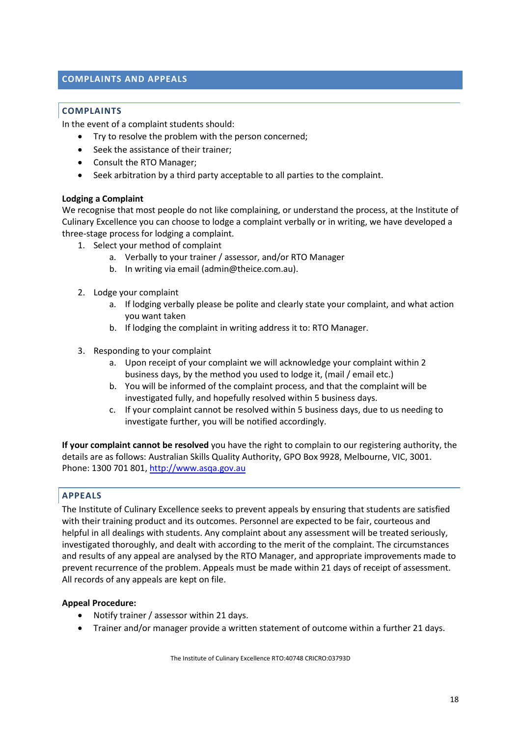# **COMPLAINTS AND APPEALS**

## **COMPLAINTS**

In the event of a complaint students should:

- Try to resolve the problem with the person concerned;
- Seek the assistance of their trainer;
- Consult the RTO Manager;
- Seek arbitration by a third party acceptable to all parties to the complaint.

## **Lodging a Complaint**

We recognise that most people do not like complaining, or understand the process, at the Institute of Culinary Excellence you can choose to lodge a complaint verbally or in writing, we have developed a three-stage process for lodging a complaint.

- 1. Select your method of complaint
	- a. Verbally to your trainer / assessor, and/or RTO Manager
	- b. In writing via email [\(admin@theice.com.au\)](mailto:admin@theice.com.au).
- 2. Lodge your complaint
	- a. If lodging verbally please be polite and clearly state your complaint, and what action you want taken
	- b. If lodging the complaint in writing address it to: RTO Manager.
- 3. Responding to your complaint
	- a. Upon receipt of your complaint we will acknowledge your complaint within 2 business days, by the method you used to lodge it, (mail / email etc.)
	- b. You will be informed of the complaint process, and that the complaint will be investigated fully, and hopefully resolved within 5 business days.
	- c. If your complaint cannot be resolved within 5 business days, due to us needing to investigate further, you will be notified accordingly.

**If your complaint cannot be resolved** you have the right to complain to our registering authority, the details are as follows: Australian Skills Quality Authority, GPO Box 9928, Melbourne, VIC, 3001. Phone: 1300 701 801, [http://www.asqa.gov.au](http://www.asqa.gov.au/)

## **APPEALS**

The Institute of Culinary Excellence seeks to prevent appeals by ensuring that students are satisfied with their training product and its outcomes. Personnel are expected to be fair, courteous and helpful in all dealings with students. Any complaint about any assessment will be treated seriously, investigated thoroughly, and dealt with according to the merit of the complaint. The circumstances and results of any appeal are analysed by the RTO Manager, and appropriate improvements made to prevent recurrence of the problem. Appeals must be made within 21 days of receipt of assessment. All records of any appeals are kept on file.

## **Appeal Procedure:**

- Notify trainer / assessor within 21 days.
- Trainer and/or manager provide a written statement of outcome within a further 21 days.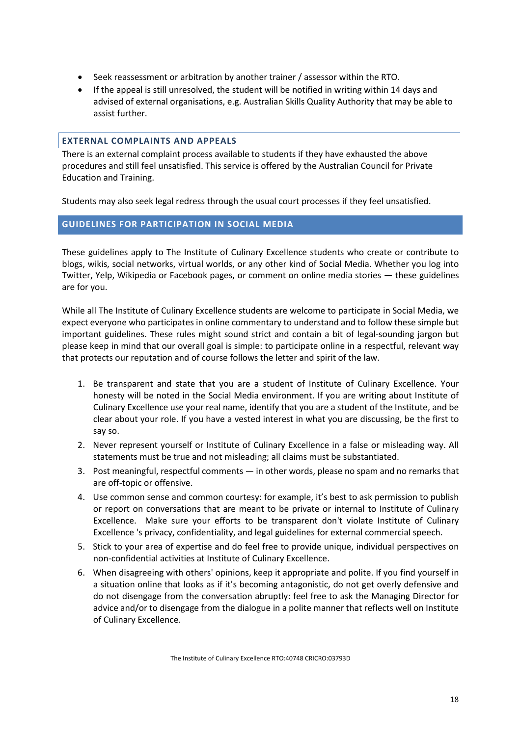- Seek reassessment or arbitration by another trainer / assessor within the RTO.
- If the appeal is still unresolved, the student will be notified in writing within 14 days and advised of external organisations, e.g. Australian Skills Quality Authority that may be able to assist further.

## **EXTERNAL COMPLAINTS AND APPEALS**

There is an external complaint process available to students if they have exhausted the above procedures and still feel unsatisfied. This service is offered by the Australian Council for Private Education and Training.

Students may also seek legal redress through the usual court processes if they feel unsatisfied.

## **GUIDELINES FOR PARTICIPATION IN SOCIAL MEDIA**

These guidelines apply to The Institute of Culinary Excellence students who create or contribute to blogs, wikis, social networks, virtual worlds, or any other kind of Social Media. Whether you log into Twitter, Yelp, Wikipedia or Facebook pages, or comment on online media stories — these guidelines are for you.

While all The Institute of Culinary Excellence students are welcome to participate in Social Media, we expect everyone who participates in online commentary to understand and to follow these simple but important guidelines. These rules might sound strict and contain a bit of legal-sounding jargon but please keep in mind that our overall goal is simple: to participate online in a respectful, relevant way that protects our reputation and of course follows the letter and spirit of the law.

- 1. Be transparent and state that you are a student of Institute of Culinary Excellence. Your honesty will be noted in the Social Media environment. If you are writing about Institute of Culinary Excellence use your real name, identify that you are a student of the Institute, and be clear about your role. If you have a vested interest in what you are discussing, be the first to say so.
- 2. Never represent yourself or Institute of Culinary Excellence in a false or misleading way. All statements must be true and not misleading; all claims must be substantiated.
- 3. Post meaningful, respectful comments in other words, please no spam and no remarks that are off-topic or offensive.
- 4. Use common sense and common courtesy: for example, it's best to ask permission to publish or report on conversations that are meant to be private or internal to Institute of Culinary Excellence. Make sure your efforts to be transparent don't violate Institute of Culinary Excellence 's privacy, confidentiality, and legal guidelines for external commercial speech.
- 5. Stick to your area of expertise and do feel free to provide unique, individual perspectives on non-confidential activities at Institute of Culinary Excellence.
- 6. When disagreeing with others' opinions, keep it appropriate and polite. If you find yourself in a situation online that looks as if it's becoming antagonistic, do not get overly defensive and do not disengage from the conversation abruptly: feel free to ask the Managing Director for advice and/or to disengage from the dialogue in a polite manner that reflects well on Institute of Culinary Excellence.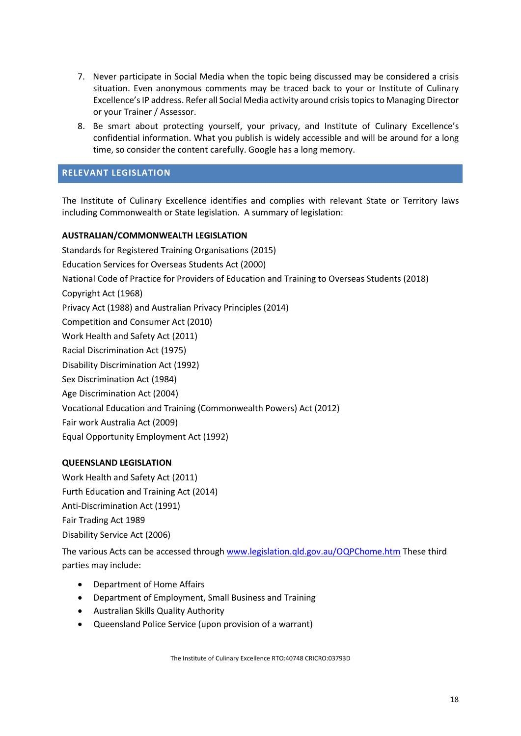- 7. Never participate in Social Media when the topic being discussed may be considered a crisis situation. Even anonymous comments may be traced back to your or Institute of Culinary Excellence's IP address. Refer all Social Media activity around crisis topics to Managing Director or your Trainer / Assessor.
- 8. Be smart about protecting yourself, your privacy, and Institute of Culinary Excellence's confidential information. What you publish is widely accessible and will be around for a long time, so consider the content carefully. Google has a long memory.

# **RELEVANT LEGISLATION**

The Institute of Culinary Excellence identifies and complies with relevant State or Territory laws including Commonwealth or State legislation. A summary of legislation:

# **AUSTRALIAN/COMMONWEALTH LEGISLATION**

Standards for Registered Training Organisations (2015) Education Services for Overseas Students Act (2000) National Code of Practice for Providers of Education and Training to Overseas Students (2018) Copyright Act (1968) Privacy Act (1988) and Australian Privacy Principles (2014) Competition and Consumer Act (2010) Work Health and Safety Act (2011) Racial Discrimination Act (1975) Disability Discrimination Act (1992) Sex Discrimination Act (1984) Age Discrimination Act (2004) Vocational Education and Training (Commonwealth Powers) Act (2012) Fair work Australia Act (2009)

# Equal Opportunity Employment Act (1992)

# **QUEENSLAND LEGISLATION**

Work Health and Safety Act (2011) Furth Education and Training Act (2014) Anti-Discrimination Act (1991) Fair Trading Act 1989 Disability Service Act (2006)

The various Acts can be accessed through [www.legislation.qld.gov.au/OQPChome.htm](http://www.legislation.qld.gov.au/OQPChome.htm) These third parties may include:

- Department of Home Affairs
- Department of Employment, Small Business and Training
- Australian Skills Quality Authority
- Queensland Police Service (upon provision of a warrant)